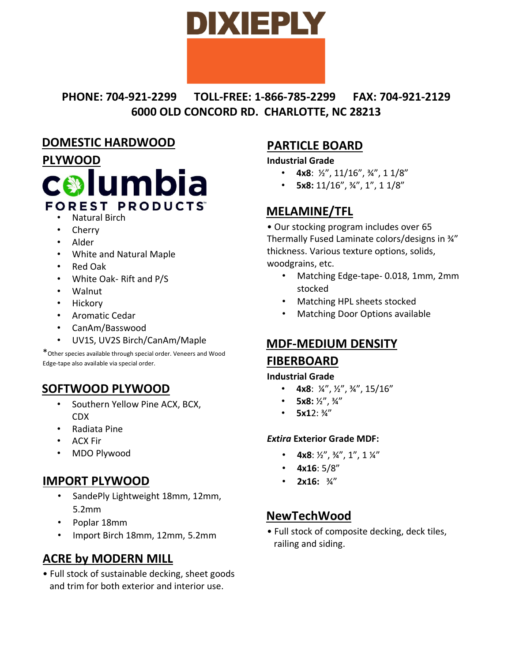# DIXIEPLY

**PHONE: 704-921-2299 TOLL-FREE: 1-866-785-2299 FAX: 704-921-2129 6000 OLD CONCORD RD. CHARLOTTE, NC 28213** 

### **DOMESTIC HARDWOOD**



- Natural Birch
- **Cherry**
- Alder
- White and Natural Maple
- Red Oak
- White Oak- Rift and P/S
- Walnut
- **Hickory**
- Aromatic Cedar
- CanAm/Basswood
- UV1S, UV2S Birch/CanAm/Maple

\*Other species available through special order. Veneers and Wood Edge-tape also available via special order.

## **SOFTWOOD PLYWOOD**

- Southern Yellow Pine ACX, BCX, CDX
- Radiata Pine
- ACX Fir
- MDO Plywood

#### **IMPORT PLYWOOD**

- SandePly Lightweight 18mm, 12mm, 5.2mm
- Poplar 18mm
- Import Birch 18mm, 12mm, 5.2mm

# **ACRE by MODERN MILL**

• Full stock of sustainable decking, sheet goods and trim for both exterior and interior use.

# **PARTICLE BOARD**

#### **Industrial Grade**

- $4x8: \frac{1}{2}$ , 11/16",  $\frac{3}{4}$ ", 11/8"
- **5x8:** 11/16", ¾", 1", 1 1/8"

# **MELAMINE/TFL**

• Our stocking program includes over 65 Thermally Fused Laminate colors/designs in ¾" thickness. Various texture options, solids, woodgrains, etc.

- Matching Edge-tape- 0.018, 1mm, 2mm stocked
- Matching HPL sheets stocked
- Matching Door Options available

# **MDF-MEDIUM DENSITY FIBERBOARD**

#### **Industrial Grade**

- **4x8**:  $\frac{1}{4}$ ,  $\frac{1}{2}$ ,  $\frac{3}{4}$ , 15/16"
- **5x8:**  $\frac{1}{2}$ ",  $\frac{3}{4}$ "
- **5x1**2: ¾"

#### *Extira* **Exterior Grade MDF:**

- $4x8: \frac{1}{2}$ ,  $\frac{3}{4}$ , 1'', 1  $\frac{1}{4}$
- **4x16**: 5/8"
- **2x16:** ¾"

## **NewTechWood**

• Full stock of composite decking, deck tiles, railing and siding.